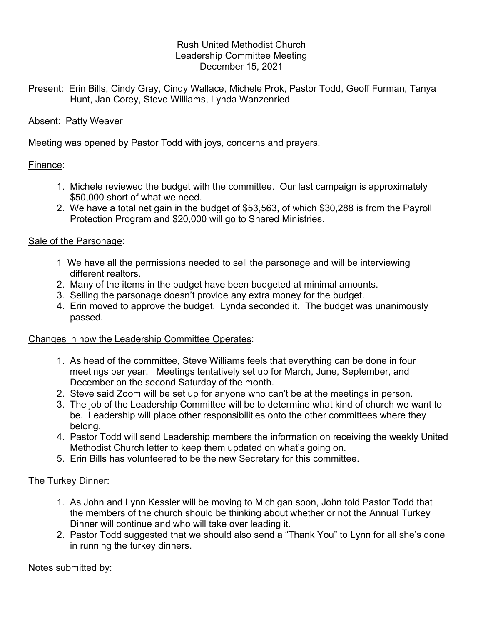### Rush United Methodist Church Leadership Committee Meeting December 15, 2021

Present: Erin Bills, Cindy Gray, Cindy Wallace, Michele Prok, Pastor Todd, Geoff Furman, Tanya Hunt, Jan Corey, Steve Williams, Lynda Wanzenried

### Absent: Patty Weaver

Meeting was opened by Pastor Todd with joys, concerns and prayers.

### Finance:

- 1. Michele reviewed the budget with the committee. Our last campaign is approximately \$50,000 short of what we need.
- 2. We have a total net gain in the budget of \$53,563, of which \$30,288 is from the Payroll Protection Program and \$20,000 will go to Shared Ministries.

### Sale of the Parsonage:

- 1 We have all the permissions needed to sell the parsonage and will be interviewing different realtors.
- 2. Many of the items in the budget have been budgeted at minimal amounts.
- 3. Selling the parsonage doesn't provide any extra money for the budget.
- 4. Erin moved to approve the budget. Lynda seconded it. The budget was unanimously passed.

# Changes in how the Leadership Committee Operates:

- 1. As head of the committee, Steve Williams feels that everything can be done in four meetings per year. Meetings tentatively set up for March, June, September, and December on the second Saturday of the month.
- 2. Steve said Zoom will be set up for anyone who can't be at the meetings in person.
- 3. The job of the Leadership Committee will be to determine what kind of church we want to be. Leadership will place other responsibilities onto the other committees where they belong.
- 4. Pastor Todd will send Leadership members the information on receiving the weekly United Methodist Church letter to keep them updated on what's going on.
- 5. Erin Bills has volunteered to be the new Secretary for this committee.

# The Turkey Dinner:

- 1. As John and Lynn Kessler will be moving to Michigan soon, John told Pastor Todd that the members of the church should be thinking about whether or not the Annual Turkey Dinner will continue and who will take over leading it.
- 2. Pastor Todd suggested that we should also send a "Thank You" to Lynn for all she's done in running the turkey dinners.

Notes submitted by: